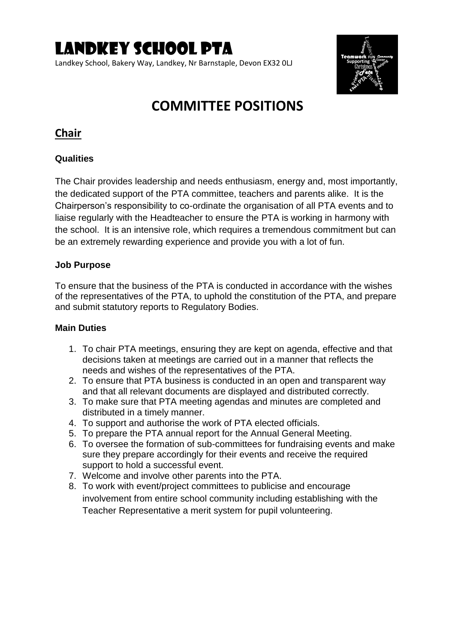Landkey School, Bakery Way, Landkey, Nr Barnstaple, Devon EX32 0LJ



## **COMMITTEE POSITIONS**

## **Chair**

#### **Qualities**

The Chair provides leadership and needs enthusiasm, energy and, most importantly, the dedicated support of the PTA committee, teachers and parents alike. It is the Chairperson's responsibility to co-ordinate the organisation of all PTA events and to liaise regularly with the Headteacher to ensure the PTA is working in harmony with the school. It is an intensive role, which requires a tremendous commitment but can be an extremely rewarding experience and provide you with a lot of fun.

#### **Job Purpose**

To ensure that the business of the PTA is conducted in accordance with the wishes of the representatives of the PTA, to uphold the constitution of the PTA, and prepare and submit statutory reports to Regulatory Bodies.

- 1. To chair PTA meetings, ensuring they are kept on agenda, effective and that decisions taken at meetings are carried out in a manner that reflects the needs and wishes of the representatives of the PTA.
- 2. To ensure that PTA business is conducted in an open and transparent way and that all relevant documents are displayed and distributed correctly.
- 3. To make sure that PTA meeting agendas and minutes are completed and distributed in a timely manner.
- 4. To support and authorise the work of PTA elected officials.
- 5. To prepare the PTA annual report for the Annual General Meeting.
- 6. To oversee the formation of sub-committees for fundraising events and make sure they prepare accordingly for their events and receive the required support to hold a successful event.
- 7. Welcome and involve other parents into the PTA.
- 8. To work with event/project committees to publicise and encourage involvement from entire school community including establishing with the Teacher Representative a merit system for pupil volunteering.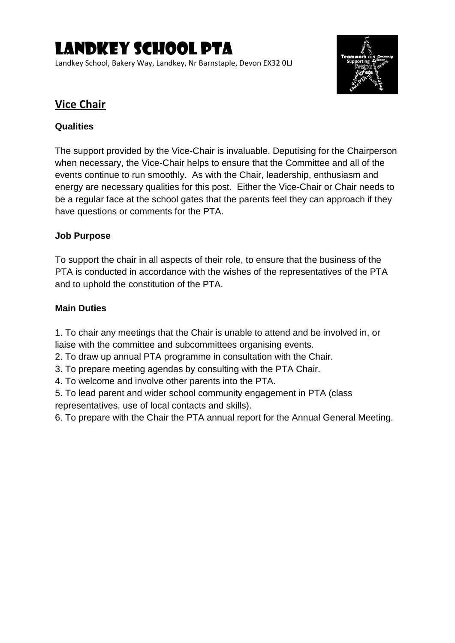Landkey School, Bakery Way, Landkey, Nr Barnstaple, Devon EX32 0LJ



## **Vice Chair**

## **Qualities**

The support provided by the Vice-Chair is invaluable. Deputising for the Chairperson when necessary, the Vice-Chair helps to ensure that the Committee and all of the events continue to run smoothly. As with the Chair, leadership, enthusiasm and energy are necessary qualities for this post. Either the Vice-Chair or Chair needs to be a regular face at the school gates that the parents feel they can approach if they have questions or comments for the PTA.

## **Job Purpose**

To support the chair in all aspects of their role, to ensure that the business of the PTA is conducted in accordance with the wishes of the representatives of the PTA and to uphold the constitution of the PTA.

## **Main Duties**

1. To chair any meetings that the Chair is unable to attend and be involved in, or liaise with the committee and subcommittees organising events.

- 2. To draw up annual PTA programme in consultation with the Chair.
- 3. To prepare meeting agendas by consulting with the PTA Chair.
- 4. To welcome and involve other parents into the PTA.
- 5. To lead parent and wider school community engagement in PTA (class representatives, use of local contacts and skills).
- 6. To prepare with the Chair the PTA annual report for the Annual General Meeting.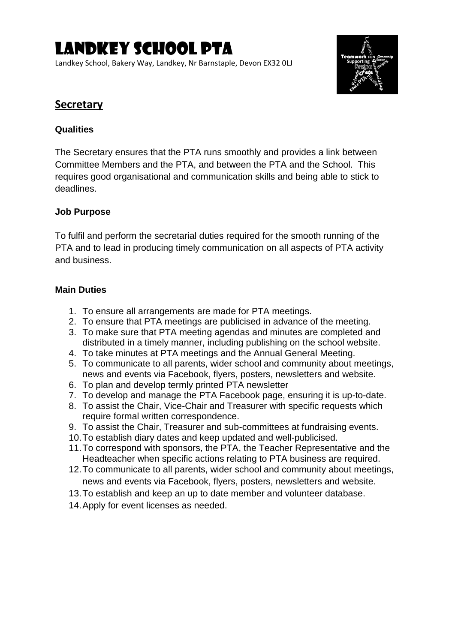Landkey School, Bakery Way, Landkey, Nr Barnstaple, Devon EX32 0LJ



## **Secretary**

## **Qualities**

The Secretary ensures that the PTA runs smoothly and provides a link between Committee Members and the PTA, and between the PTA and the School. This requires good organisational and communication skills and being able to stick to deadlines.

## **Job Purpose**

To fulfil and perform the secretarial duties required for the smooth running of the PTA and to lead in producing timely communication on all aspects of PTA activity and business.

- 1. To ensure all arrangements are made for PTA meetings.
- 2. To ensure that PTA meetings are publicised in advance of the meeting.
- 3. To make sure that PTA meeting agendas and minutes are completed and distributed in a timely manner, including publishing on the school website.
- 4. To take minutes at PTA meetings and the Annual General Meeting.
- 5. To communicate to all parents, wider school and community about meetings, news and events via Facebook, flyers, posters, newsletters and website.
- 6. To plan and develop termly printed PTA newsletter
- 7. To develop and manage the PTA Facebook page, ensuring it is up-to-date.
- 8. To assist the Chair, Vice-Chair and Treasurer with specific requests which require formal written correspondence.
- 9. To assist the Chair, Treasurer and sub-committees at fundraising events.
- 10.To establish diary dates and keep updated and well-publicised.
- 11.To correspond with sponsors, the PTA, the Teacher Representative and the Headteacher when specific actions relating to PTA business are required.
- 12.To communicate to all parents, wider school and community about meetings, news and events via Facebook, flyers, posters, newsletters and website.
- 13.To establish and keep an up to date member and volunteer database.
- 14.Apply for event licenses as needed.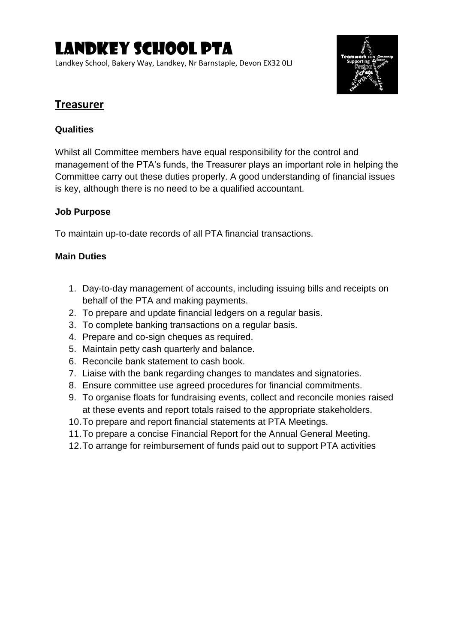Landkey School, Bakery Way, Landkey, Nr Barnstaple, Devon EX32 0LJ



## **Treasurer**

## **Qualities**

Whilst all Committee members have equal responsibility for the control and management of the PTA's funds, the Treasurer plays an important role in helping the Committee carry out these duties properly. A good understanding of financial issues is key, although there is no need to be a qualified accountant.

## **Job Purpose**

To maintain up-to-date records of all PTA financial transactions.

- 1. Day-to-day management of accounts, including issuing bills and receipts on behalf of the PTA and making payments.
- 2. To prepare and update financial ledgers on a regular basis.
- 3. To complete banking transactions on a regular basis.
- 4. Prepare and co-sign cheques as required.
- 5. Maintain petty cash quarterly and balance.
- 6. Reconcile bank statement to cash book.
- 7. Liaise with the bank regarding changes to mandates and signatories.
- 8. Ensure committee use agreed procedures for financial commitments.
- 9. To organise floats for fundraising events, collect and reconcile monies raised at these events and report totals raised to the appropriate stakeholders.
- 10.To prepare and report financial statements at PTA Meetings.
- 11.To prepare a concise Financial Report for the Annual General Meeting.
- 12.To arrange for reimbursement of funds paid out to support PTA activities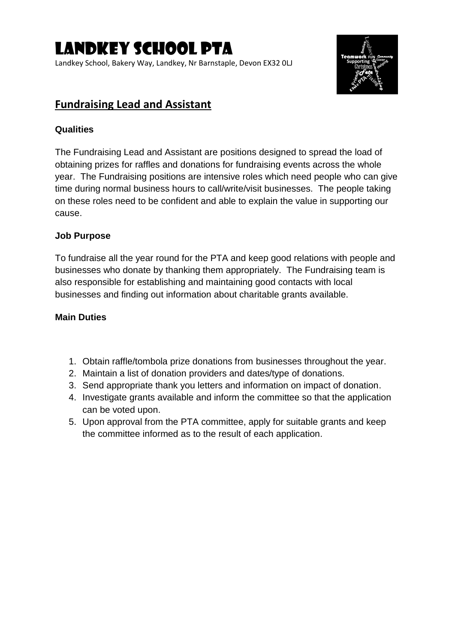Landkey School, Bakery Way, Landkey, Nr Barnstaple, Devon EX32 0LJ



## **Fundraising Lead and Assistant**

## **Qualities**

The Fundraising Lead and Assistant are positions designed to spread the load of obtaining prizes for raffles and donations for fundraising events across the whole year. The Fundraising positions are intensive roles which need people who can give time during normal business hours to call/write/visit businesses. The people taking on these roles need to be confident and able to explain the value in supporting our cause.

#### **Job Purpose**

To fundraise all the year round for the PTA and keep good relations with people and businesses who donate by thanking them appropriately. The Fundraising team is also responsible for establishing and maintaining good contacts with local businesses and finding out information about charitable grants available.

- 1. Obtain raffle/tombola prize donations from businesses throughout the year.
- 2. Maintain a list of donation providers and dates/type of donations.
- 3. Send appropriate thank you letters and information on impact of donation.
- 4. Investigate grants available and inform the committee so that the application can be voted upon.
- 5. Upon approval from the PTA committee, apply for suitable grants and keep the committee informed as to the result of each application.